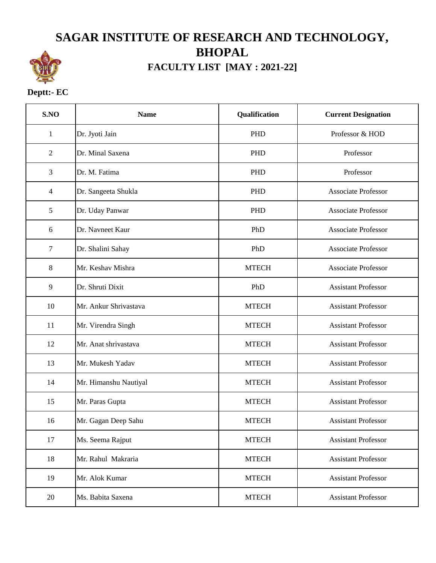## **SAGAR INSTITUTE OF RESEARCH AND TECHNOLOGY, BHOPAL**



## **FACULTY LIST [MAY : 2021-22]**

## **Deptt:- EC**

| S.NO           | <b>Name</b>           | Qualification | <b>Current Designation</b> |
|----------------|-----------------------|---------------|----------------------------|
| $\mathbf{1}$   | Dr. Jyoti Jain        | <b>PHD</b>    | Professor & HOD            |
| $\overline{2}$ | Dr. Minal Saxena      | PHD           | Professor                  |
| 3              | Dr. M. Fatima         | <b>PHD</b>    | Professor                  |
| 4              | Dr. Sangeeta Shukla   | <b>PHD</b>    | <b>Associate Professor</b> |
| 5              | Dr. Uday Panwar       | PHD           | <b>Associate Professor</b> |
| 6              | Dr. Navneet Kaur      | PhD           | <b>Associate Professor</b> |
| 7              | Dr. Shalini Sahay     | PhD           | <b>Associate Professor</b> |
| 8              | Mr. Keshav Mishra     | <b>MTECH</b>  | <b>Associate Professor</b> |
| 9              | Dr. Shruti Dixit      | PhD           | <b>Assistant Professor</b> |
| 10             | Mr. Ankur Shrivastava | <b>MTECH</b>  | <b>Assistant Professor</b> |
| 11             | Mr. Virendra Singh    | <b>MTECH</b>  | <b>Assistant Professor</b> |
| 12             | Mr. Anat shrivastava  | <b>MTECH</b>  | <b>Assistant Professor</b> |
| 13             | Mr. Mukesh Yadav      | <b>MTECH</b>  | <b>Assistant Professor</b> |
| 14             | Mr. Himanshu Nautiyal | <b>MTECH</b>  | <b>Assistant Professor</b> |
| 15             | Mr. Paras Gupta       | <b>MTECH</b>  | <b>Assistant Professor</b> |
| 16             | Mr. Gagan Deep Sahu   | <b>MTECH</b>  | <b>Assistant Professor</b> |
| 17             | Ms. Seema Rajput      | <b>MTECH</b>  | <b>Assistant Professor</b> |
| 18             | Mr. Rahul Makraria    | <b>MTECH</b>  | <b>Assistant Professor</b> |
| 19             | Mr. Alok Kumar        | <b>MTECH</b>  | <b>Assistant Professor</b> |
| 20             | Ms. Babita Saxena     | <b>MTECH</b>  | <b>Assistant Professor</b> |